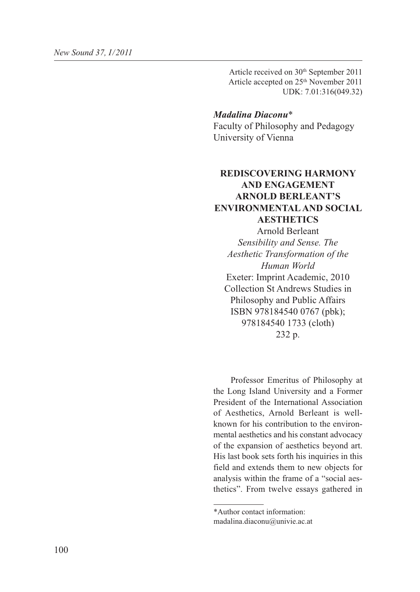Article received on 30th September 2011 Article accepted on 25<sup>th</sup> November 2011 UDK: 7.01:316(049.32)

## *Madalina Diaconu*\*

Faculty of Philosophy and Pedagogy University of Vienna

## **REDISCOVERING HARMONY AND ENGAGEMENT ARNOLD BERLEANT'S ENVIRONMENTAL AND SOCIAL AESTHETICS**

Arnold Berleant *Sensibility and Sense. The Aesthetic Transformation of the Human World* Exeter: Imprint Academic, 2010 Collection St Andrews Studies in Philosophy and Public Affairs ISBN 978184540 0767 (pbk); 978184540 1733 (cloth) 232 p.

Professor Emeritus of Philosophy at the Long Island University and a Former President of the International Association of Aesthetics, Arnold Berleant is wellknown for his contribution to the environmental aesthetics and his constant advocacy of the expansion of aesthetics beyond art. His last book sets forth his inquiries in this field and extends them to new objects for analysis within the frame of a "social aesthetics". From twelve essays gathered in

<sup>\*</sup>Author contact information: madalina.diaconu@univie.ac.at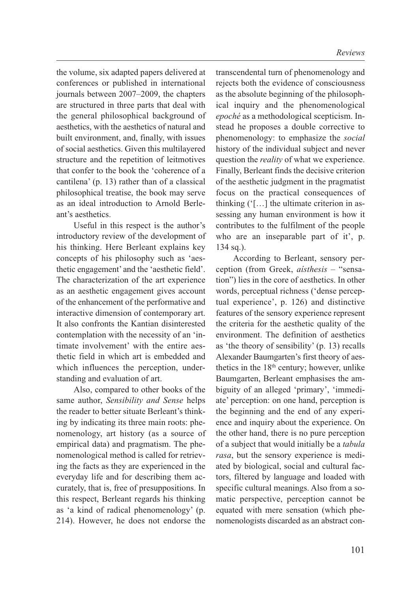the volume, six adapted papers delivered at conferences or published in international journals between 2007–2009, the chapters are structured in three parts that deal with the general philosophical background of aesthetics, with the aesthetics of natural and built environment, and, finally, with issues of social aesthetics. Given this multilayered structure and the repetition of leitmotives that confer to the book the 'coherence of a cantilena' (p. 13) rather than of a classical philosophical treatise, the book may serve as an ideal introduction to Arnold Berleant's aesthetics.

Useful in this respect is the author's introductory review of the development of his thinking. Here Berleant explains key concepts of his philosophy such as 'aesthetic engagement' and the 'aesthetic field'. The characterization of the art experience as an aesthetic engagement gives account of the enhancement of the performative and interactive dimension of contemporary art. It also confronts the Kantian disinterested contemplation with the necessity of an 'intimate involvement' with the entire aesthetic field in which art is embedded and which influences the perception, understanding and evaluation of art.

Also, compared to other books of the same author, *Sensibility and Sense* helps the reader to better situate Berleant's thinking by indicating its three main roots: phenomenology, art history (as a source of empirical data) and pragmatism. The phenomenological method is called for retrieving the facts as they are experienced in the everyday life and for describing them accurately, that is, free of presuppositions. In this respect, Berleant regards his thinking as 'a kind of radical phenomenology' (p. 214). However, he does not endorse the

transcendental turn of phenomenology and rejects both the evidence of consciousness as the absolute beginning of the philosophical inquiry and the phenomenological *epoché* as a methodological scepticism. Instead he proposes a double corrective to phenomenology: to emphasize the *social* history of the individual subject and never question the *reality* of what we experience. Finally, Berleant finds the decisive criterion of the aesthetic judgment in the pragmatist focus on the practical consequences of thinking ('[…] the ultimate criterion in assessing any human environment is how it contributes to the fulfilment of the people who are an inseparable part of it', p. 134 sq.).

According to Berleant, sensory perception (from Greek, *aísthesis* – "sensation") lies in the core of aesthetics. In other words, perceptual richness ('dense perceptual experience', p. 126) and distinctive features of the sensory experience represent the criteria for the aesthetic quality of the environment. The definition of aesthetics as 'the theory of sensibility' (p. 13) recalls Alexander Baumgarten's first theory of aesthetics in the 18<sup>th</sup> century; however, unlike Baumgarten, Berleant emphasises the ambiguity of an alleged 'primary', 'immediate' perception: on one hand, perception is the beginning and the end of any experience and inquiry about the experience. On the other hand, there is no pure perception of a subject that would initially be a *tabula rasa*, but the sensory experience is mediated by biological, social and cultural factors, filtered by language and loaded with specific cultural meanings. Also from a somatic perspective, perception cannot be equated with mere sensation (which phenomenologists discarded as an abstract con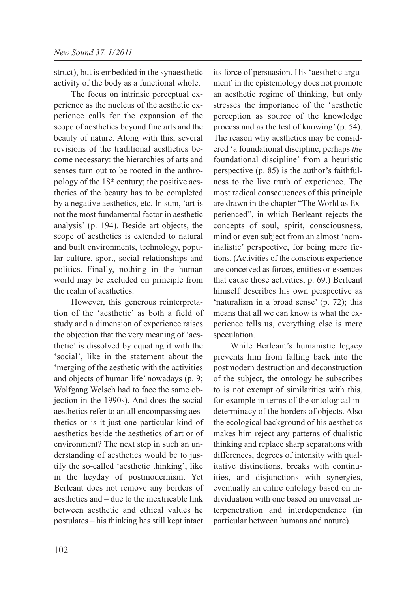struct), but is embedded in the synaesthetic activity of the body as a functional whole.

The focus on intrinsic perceptual experience as the nucleus of the aesthetic experience calls for the expansion of the scope of aesthetics beyond fine arts and the beauty of nature. Along with this, several revisions of the traditional aesthetics become necessary: the hierarchies of arts and senses turn out to be rooted in the anthropology of the 18th century; the positive aesthetics of the beauty has to be completed by a negative aesthetics, etc. In sum, 'art is not the most fundamental factor in aesthetic analysis' (p. 194). Beside art objects, the scope of aesthetics is extended to natural and built environments, technology, popular culture, sport, social relationships and politics. Finally, nothing in the human world may be excluded on principle from the realm of aesthetics.

However, this generous reinterpretation of the 'aesthetic' as both a field of study and a dimension of experience raises the objection that the very meaning of 'aesthetic' is dissolved by equating it with the 'social', like in the statement about the 'merging of the aesthetic with the activities and objects of human life' nowadays (p. 9; Wolfgang Welsch had to face the same objection in the 1990s). And does the social aesthetics refer to an all encompassing aesthetics or is it just one particular kind of aesthetics beside the aesthetics of art or of environment? The next step in such an understanding of aesthetics would be to justify the so-called 'aesthetic thinking', like in the heyday of postmodernism. Yet Berleant does not remove any borders of aesthetics and – due to the inextricable link between aesthetic and ethical values he postulates – his thinking has still kept intact

its force of persuasion. His 'aesthetic argument' in the epistemology does not promote an aesthetic regime of thinking, but only stresses the importance of the 'aesthetic perception as source of the knowledge process and as the test of knowing' (p. 54). The reason why aesthetics may be considered 'a foundational discipline, perhaps *the* foundational discipline' from a heuristic perspective (p. 85) is the author's faithfulness to the live truth of experience. The most radical consequences of this principle are drawn in the chapter "The World as Experienced", in which Berleant rejects the concepts of soul, spirit, consciousness, mind or even subject from an almost 'nominalistic' perspective, for being mere fictions. (Activities of the conscious experience are conceived as forces, entities or essences that cause those activities, p. 69.) Berleant himself describes his own perspective as 'naturalism in a broad sense' (p. 72); this means that all we can know is what the experience tells us, everything else is mere speculation.

While Berleant's humanistic legacy prevents him from falling back into the postmodern destruction and deconstruction of the subject, the ontology he subscribes to is not exempt of similarities with this, for example in terms of the ontological indeterminacy of the borders of objects. Also the ecological background of his aesthetics makes him reject any patterns of dualistic thinking and replace sharp separations with differences, degrees of intensity with qualitative distinctions, breaks with continuities, and disjunctions with synergies, eventually an entire ontology based on individuation with one based on universal interpenetration and interdependence (in particular between humans and nature).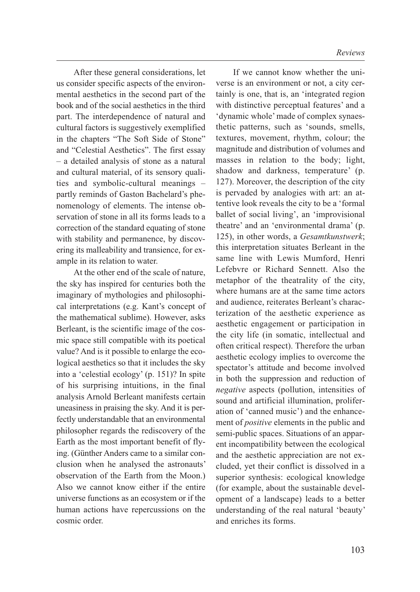After these general considerations, let us consider specific aspects of the environmental aesthetics in the second part of the book and of the social aesthetics in the third part. The interdependence of natural and cultural factors is suggestively exemplified in the chapters "The Soft Side of Stone" and "Celestial Aesthetics". The first essay – a detailed analysis of stone as a natural and cultural material, of its sensory qualities and symbolic-cultural meanings – partly reminds of Gaston Bachelard's phenomenology of elements. The intense observation of stone in all its forms leads to a correction of the standard equating of stone with stability and permanence, by discovering its malleability and transience, for example in its relation to water.

At the other end of the scale of nature, the sky has inspired for centuries both the imaginary of mythologies and philosophical interpretations (e.g. Kant's concept of the mathematical sublime). However, asks Berleant, is the scientific image of the cosmic space still compatible with its poetical value? And is it possible to enlarge the ecological aesthetics so that it includes the sky into a 'celestial ecology' (p. 151)? In spite of his surprising intuitions, in the final analysis Arnold Berleant manifests certain uneasiness in praising the sky. And it is perfectly understandable that an environmental philosopher regards the rediscovery of the Earth as the most important benefit of flying. (Günther Anders came to a similar conclusion when he analysed the astronauts' observation of the Earth from the Moon.) Also we cannot know either if the entire universe functions as an ecosystem or if the human actions have repercussions on the cosmic order.

If we cannot know whether the universe is an environment or not, a city certainly is one, that is, an 'integrated region with distinctive perceptual features' and a 'dynamic whole' made of complex synaesthetic patterns, such as 'sounds, smells, textures, movement, rhythm, colour; the magnitude and distribution of volumes and masses in relation to the body; light, shadow and darkness, temperature' (p. 127). Moreover, the description of the city is pervaded by analogies with art: an attentive look reveals the city to be a 'formal ballet of social living', an 'improvisional theatre' and an 'environmental drama' (p. 125), in other words, a *Gesamtkunstwerk*; this interpretation situates Berleant in the same line with Lewis Mumford, Henri Lefebvre or Richard Sennett. Also the metaphor of the theatrality of the city, where humans are at the same time actors and audience, reiterates Berleant's characterization of the aesthetic experience as aesthetic engagement or participation in the city life (in somatic, intellectual and often critical respect). Therefore the urban aesthetic ecology implies to overcome the spectator's attitude and become involved in both the suppression and reduction of *negative* aspects (pollution, intensities of sound and artificial illumination, proliferation of 'canned music') and the enhancement of *positive* elements in the public and semi-public spaces. Situations of an apparent incompatibility between the ecological and the aesthetic appreciation are not excluded, yet their conflict is dissolved in a superior synthesis: ecological knowledge (for example, about the sustainable development of a landscape) leads to a better understanding of the real natural 'beauty' and enriches its forms.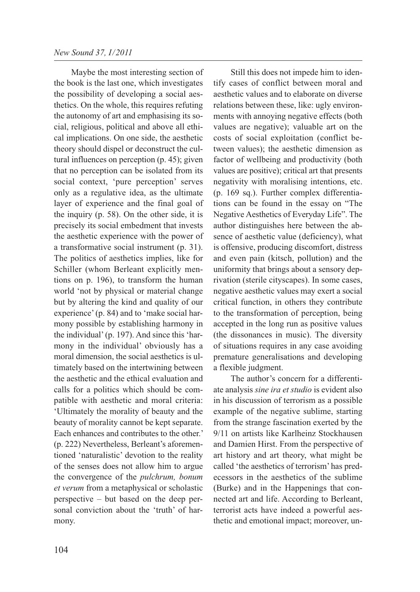Maybe the most interesting section of the book is the last one, which investigates the possibility of developing a social aesthetics. On the whole, this requires refuting the autonomy of art and emphasising its social, religious, political and above all ethical implications. On one side, the aesthetic theory should dispel or deconstruct the cultural influences on perception (p. 45); given that no perception can be isolated from its social context, 'pure perception' serves only as a regulative idea, as the ultimate layer of experience and the final goal of the inquiry (p. 58). On the other side, it is precisely its social embedment that invests the aesthetic experience with the power of a transformative social instrument (p. 31). The politics of aesthetics implies, like for Schiller (whom Berleant explicitly mentions on p. 196), to transform the human world 'not by physical or material change but by altering the kind and quality of our experience' (p. 84) and to 'make social harmony possible by establishing harmony in the individual' (p. 197). And since this 'harmony in the individual' obviously has a moral dimension, the social aesthetics is ultimately based on the intertwining between the aesthetic and the ethical evaluation and calls for a politics which should be compatible with aesthetic and moral criteria: 'Ultimately the morality of beauty and the beauty of morality cannot be kept separate. Each enhances and contributes to the other.' (p. 222) Nevertheless, Berleant's aforementioned 'naturalistic' devotion to the reality of the senses does not allow him to argue the convergence of the *pulchrum, bonum et verum* from a metaphysical or scholastic perspective – but based on the deep personal conviction about the 'truth' of harmony.

Still this does not impede him to identify cases of conflict between moral and aesthetic values and to elaborate on diverse relations between these, like: ugly environments with annoying negative effects (both values are negative); valuable art on the costs of social exploitation (conflict between values); the aesthetic dimension as factor of wellbeing and productivity (both values are positive); critical art that presents negativity with moralising intentions, etc. (p. 169 sq.). Further complex differentiations can be found in the essay on "The Negative Aesthetics of Everyday Life". The author distinguishes here between the absence of aesthetic value (deficiency), what is offensive, producing discomfort, distress and even pain (kitsch, pollution) and the uniformity that brings about a sensory deprivation (sterile cityscapes). In some cases, negative aesthetic values may exert a social critical function, in others they contribute to the transformation of perception, being accepted in the long run as positive values (the dissonances in music). The diversity of situations requires in any case avoiding premature generalisations and developing a flexible judgment.

The author's concern for a differentiate analysis *sine ira et studio* is evident also in his discussion of terrorism as a possible example of the negative sublime, starting from the strange fascination exerted by the 9/11 on artists like Karlheinz Stockhausen and Damien Hirst. From the perspective of art history and art theory, what might be called 'the aesthetics of terrorism' has predecessors in the aesthetics of the sublime (Burke) and in the Happenings that connected art and life. According to Berleant, terrorist acts have indeed a powerful aesthetic and emotional impact; moreover, un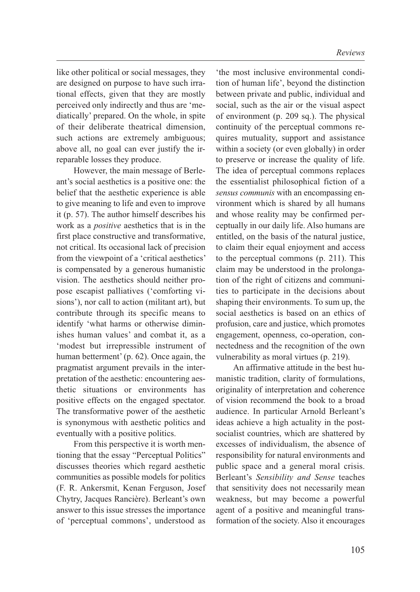like other political or social messages, they are designed on purpose to have such irrational effects, given that they are mostly perceived only indirectly and thus are 'mediatically' prepared. On the whole, in spite of their deliberate theatrical dimension, such actions are extremely ambiguous; above all, no goal can ever justify the irreparable losses they produce.

However, the main message of Berleant's social aesthetics is a positive one: the belief that the aesthetic experience is able to give meaning to life and even to improve it (p. 57). The author himself describes his work as a *positive* aesthetics that is in the first place constructive and transformative, not critical. Its occasional lack of precision from the viewpoint of a 'critical aesthetics' is compensated by a generous humanistic vision. The aesthetics should neither propose escapist palliatives ('comforting visions'), nor call to action (militant art), but contribute through its specific means to identify 'what harms or otherwise diminishes human values' and combat it, as a 'modest but irrepressible instrument of human betterment' (p. 62). Once again, the pragmatist argument prevails in the interpretation of the aesthetic: encountering aesthetic situations or environments has positive effects on the engaged spectator. The transformative power of the aesthetic is synonymous with aesthetic politics and eventually with a positive politics.

From this perspective it is worth mentioning that the essay "Perceptual Politics" discusses theories which regard aesthetic communities as possible models for politics (F. R. Ankersmit, Kenan Ferguson, Josef Chytry, Jacques Rancière). Berleant's own answer to this issue stresses the importance of 'perceptual commons', understood as

'the most inclusive environmental condition of human life', beyond the distinction between private and public, individual and social, such as the air or the visual aspect of environment (p. 209 sq.). The physical continuity of the perceptual commons requires mutuality, support and assistance within a society (or even globally) in order to preserve or increase the quality of life. The idea of perceptual commons replaces the essentialist philosophical fiction of a *sensus communis* with an encompassing environment which is shared by all humans and whose reality may be confirmed perceptually in our daily life. Also humans are entitled, on the basis of the natural justice, to claim their equal enjoyment and access to the perceptual commons (p. 211). This claim may be understood in the prolongation of the right of citizens and communities to participate in the decisions about shaping their environments. To sum up, the social aesthetics is based on an ethics of profusion, care and justice, which promotes engagement, openness, co-operation, connectedness and the recognition of the own vulnerability as moral virtues (p. 219).

An affirmative attitude in the best humanistic tradition, clarity of formulations, originality of interpretation and coherence of vision recommend the book to a broad audience. In particular Arnold Berleant's ideas achieve a high actuality in the postsocialist countries, which are shattered by excesses of individualism, the absence of responsibility for natural environments and public space and a general moral crisis. Berleant's *Sensibility and Sense* teaches that sensitivity does not necessarily mean weakness, but may become a powerful agent of a positive and meaningful transformation of the society. Also it encourages